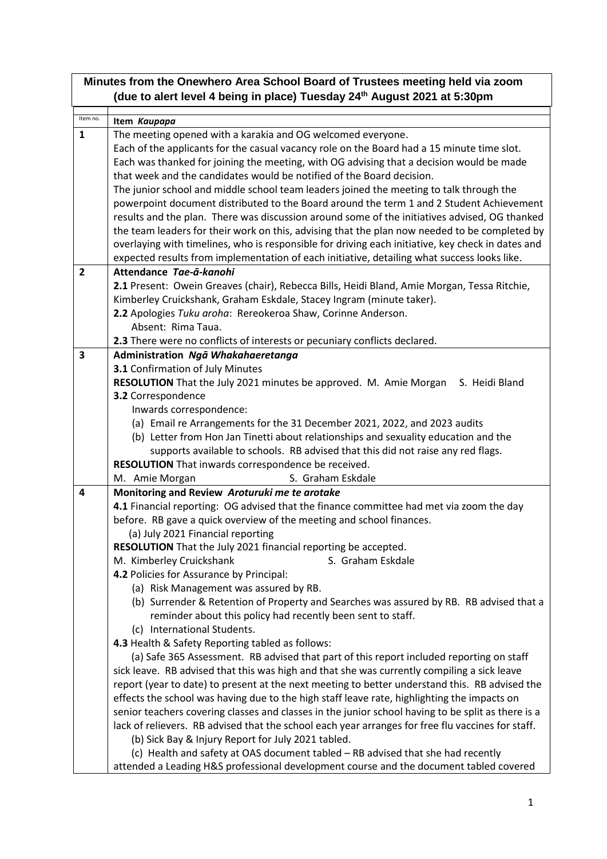| Minutes from the Onewhero Area School Board of Trustees meeting held via zoom<br>(due to alert level 4 being in place) Tuesday 24 <sup>th</sup> August 2021 at 5:30pm |                                                                                                    |  |
|-----------------------------------------------------------------------------------------------------------------------------------------------------------------------|----------------------------------------------------------------------------------------------------|--|
| Item no.                                                                                                                                                              | Item Kaupapa                                                                                       |  |
| $\mathbf{1}$                                                                                                                                                          | The meeting opened with a karakia and OG welcomed everyone.                                        |  |
|                                                                                                                                                                       | Each of the applicants for the casual vacancy role on the Board had a 15 minute time slot.         |  |
|                                                                                                                                                                       | Each was thanked for joining the meeting, with OG advising that a decision would be made           |  |
|                                                                                                                                                                       | that week and the candidates would be notified of the Board decision.                              |  |
|                                                                                                                                                                       | The junior school and middle school team leaders joined the meeting to talk through the            |  |
|                                                                                                                                                                       | powerpoint document distributed to the Board around the term 1 and 2 Student Achievement           |  |
|                                                                                                                                                                       | results and the plan. There was discussion around some of the initiatives advised, OG thanked      |  |
|                                                                                                                                                                       | the team leaders for their work on this, advising that the plan now needed to be completed by      |  |
|                                                                                                                                                                       | overlaying with timelines, who is responsible for driving each initiative, key check in dates and  |  |
|                                                                                                                                                                       | expected results from implementation of each initiative, detailing what success looks like.        |  |
| $\overline{2}$                                                                                                                                                        | Attendance Tae-ā-kanohi                                                                            |  |
|                                                                                                                                                                       | 2.1 Present: Owein Greaves (chair), Rebecca Bills, Heidi Bland, Amie Morgan, Tessa Ritchie,        |  |
|                                                                                                                                                                       | Kimberley Cruickshank, Graham Eskdale, Stacey Ingram (minute taker).                               |  |
|                                                                                                                                                                       | 2.2 Apologies Tuku aroha: Rereokeroa Shaw, Corinne Anderson.                                       |  |
|                                                                                                                                                                       | Absent: Rima Taua.<br>2.3 There were no conflicts of interests or pecuniary conflicts declared.    |  |
| 3                                                                                                                                                                     | Administration Ngā Whakahaeretanga                                                                 |  |
|                                                                                                                                                                       | 3.1 Confirmation of July Minutes                                                                   |  |
|                                                                                                                                                                       | RESOLUTION That the July 2021 minutes be approved. M. Amie Morgan<br>S. Heidi Bland                |  |
|                                                                                                                                                                       | 3.2 Correspondence                                                                                 |  |
|                                                                                                                                                                       | Inwards correspondence:                                                                            |  |
|                                                                                                                                                                       | (a) Email re Arrangements for the 31 December 2021, 2022, and 2023 audits                          |  |
|                                                                                                                                                                       | (b) Letter from Hon Jan Tinetti about relationships and sexuality education and the                |  |
|                                                                                                                                                                       | supports available to schools. RB advised that this did not raise any red flags.                   |  |
|                                                                                                                                                                       | RESOLUTION That inwards correspondence be received.                                                |  |
|                                                                                                                                                                       | S. Graham Eskdale<br>M. Amie Morgan                                                                |  |
| 4                                                                                                                                                                     | Monitoring and Review Aroturuki me te arotake                                                      |  |
|                                                                                                                                                                       | 4.1 Financial reporting: OG advised that the finance committee had met via zoom the day            |  |
|                                                                                                                                                                       | before. RB gave a quick overview of the meeting and school finances.                               |  |
|                                                                                                                                                                       | (a) July 2021 Financial reporting                                                                  |  |
|                                                                                                                                                                       | RESOLUTION That the July 2021 financial reporting be accepted.<br>S. Graham Eskdale                |  |
|                                                                                                                                                                       | M. Kimberley Cruickshank<br>4.2 Policies for Assurance by Principal:                               |  |
|                                                                                                                                                                       | (a) Risk Management was assured by RB.                                                             |  |
|                                                                                                                                                                       | (b) Surrender & Retention of Property and Searches was assured by RB. RB advised that a            |  |
|                                                                                                                                                                       | reminder about this policy had recently been sent to staff.                                        |  |
|                                                                                                                                                                       | (c) International Students.                                                                        |  |
|                                                                                                                                                                       | 4.3 Health & Safety Reporting tabled as follows:                                                   |  |
|                                                                                                                                                                       | (a) Safe 365 Assessment. RB advised that part of this report included reporting on staff           |  |
|                                                                                                                                                                       | sick leave. RB advised that this was high and that she was currently compiling a sick leave        |  |
|                                                                                                                                                                       | report (year to date) to present at the next meeting to better understand this. RB advised the     |  |
|                                                                                                                                                                       | effects the school was having due to the high staff leave rate, highlighting the impacts on        |  |
|                                                                                                                                                                       | senior teachers covering classes and classes in the junior school having to be split as there is a |  |
|                                                                                                                                                                       | lack of relievers. RB advised that the school each year arranges for free flu vaccines for staff.  |  |
|                                                                                                                                                                       | (b) Sick Bay & Injury Report for July 2021 tabled.                                                 |  |
|                                                                                                                                                                       | (c) Health and safety at OAS document tabled - RB advised that she had recently                    |  |
|                                                                                                                                                                       | attended a Leading H&S professional development course and the document tabled covered             |  |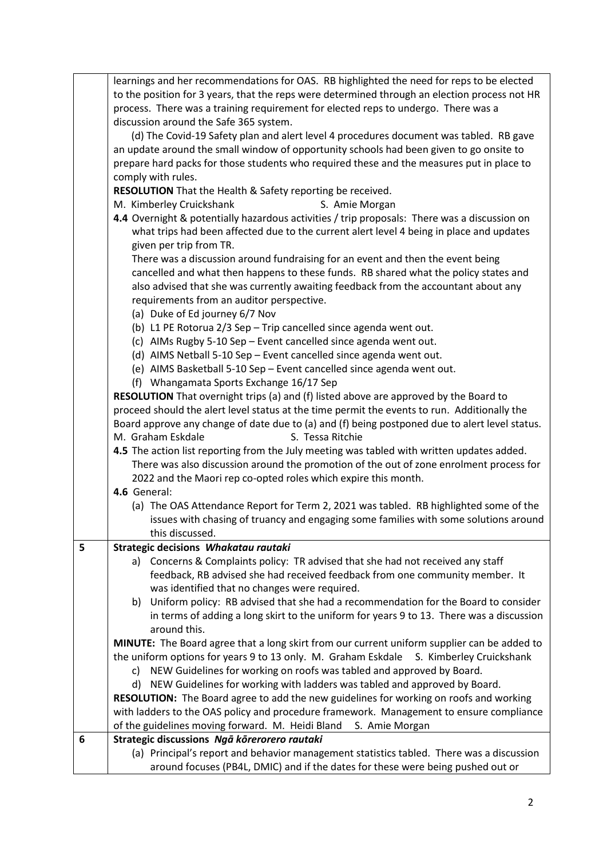|   | learnings and her recommendations for OAS. RB highlighted the need for reps to be elected      |
|---|------------------------------------------------------------------------------------------------|
|   | to the position for 3 years, that the reps were determined through an election process not HR  |
|   | process. There was a training requirement for elected reps to undergo. There was a             |
|   |                                                                                                |
|   | discussion around the Safe 365 system.                                                         |
|   | (d) The Covid-19 Safety plan and alert level 4 procedures document was tabled. RB gave         |
|   | an update around the small window of opportunity schools had been given to go onsite to        |
|   | prepare hard packs for those students who required these and the measures put in place to      |
|   | comply with rules.                                                                             |
|   | RESOLUTION That the Health & Safety reporting be received.                                     |
|   | M. Kimberley Cruickshank<br>S. Amie Morgan                                                     |
|   | 4.4 Overnight & potentially hazardous activities / trip proposals: There was a discussion on   |
|   | what trips had been affected due to the current alert level 4 being in place and updates       |
|   | given per trip from TR.                                                                        |
|   | There was a discussion around fundraising for an event and then the event being                |
|   | cancelled and what then happens to these funds. RB shared what the policy states and           |
|   | also advised that she was currently awaiting feedback from the accountant about any            |
|   | requirements from an auditor perspective.                                                      |
|   | (a) Duke of Ed journey 6/7 Nov                                                                 |
|   | (b) L1 PE Rotorua 2/3 Sep - Trip cancelled since agenda went out.                              |
|   | (c) AIMs Rugby 5-10 Sep - Event cancelled since agenda went out.                               |
|   | (d) AIMS Netball 5-10 Sep - Event cancelled since agenda went out.                             |
|   | (e) AIMS Basketball 5-10 Sep - Event cancelled since agenda went out.                          |
|   | (f) Whangamata Sports Exchange 16/17 Sep                                                       |
|   | <b>RESOLUTION</b> That overnight trips (a) and (f) listed above are approved by the Board to   |
|   | proceed should the alert level status at the time permit the events to run. Additionally the   |
|   | Board approve any change of date due to (a) and (f) being postponed due to alert level status. |
|   | M. Graham Eskdale<br>S. Tessa Ritchie                                                          |
|   | 4.5 The action list reporting from the July meeting was tabled with written updates added.     |
|   | There was also discussion around the promotion of the out of zone enrolment process for        |
|   | 2022 and the Maori rep co-opted roles which expire this month.                                 |
|   | 4.6 General:                                                                                   |
|   | (a) The OAS Attendance Report for Term 2, 2021 was tabled. RB highlighted some of the          |
|   | issues with chasing of truancy and engaging some families with some solutions around           |
|   | this discussed.                                                                                |
| 5 | Strategic decisions Whakatau rautaki                                                           |
|   | a) Concerns & Complaints policy: TR advised that she had not received any staff                |
|   | feedback, RB advised she had received feedback from one community member. It                   |
|   | was identified that no changes were required.                                                  |
|   | Uniform policy: RB advised that she had a recommendation for the Board to consider             |
|   | b)                                                                                             |
|   | in terms of adding a long skirt to the uniform for years 9 to 13. There was a discussion       |
|   | around this.                                                                                   |
|   | MINUTE: The Board agree that a long skirt from our current uniform supplier can be added to    |
|   | the uniform options for years 9 to 13 only. M. Graham Eskdale<br>S. Kimberley Cruickshank      |
|   | c) NEW Guidelines for working on roofs was tabled and approved by Board.                       |
|   | NEW Guidelines for working with ladders was tabled and approved by Board.<br>d)                |
|   | RESOLUTION: The Board agree to add the new guidelines for working on roofs and working         |
|   | with ladders to the OAS policy and procedure framework. Management to ensure compliance        |
|   | of the guidelines moving forward. M. Heidi Bland<br>S. Amie Morgan                             |
| 6 | Strategic discussions Ngā kōrerorero rautaki                                                   |
|   | (a) Principal's report and behavior management statistics tabled. There was a discussion       |
|   | around focuses (PB4L, DMIC) and if the dates for these were being pushed out or                |